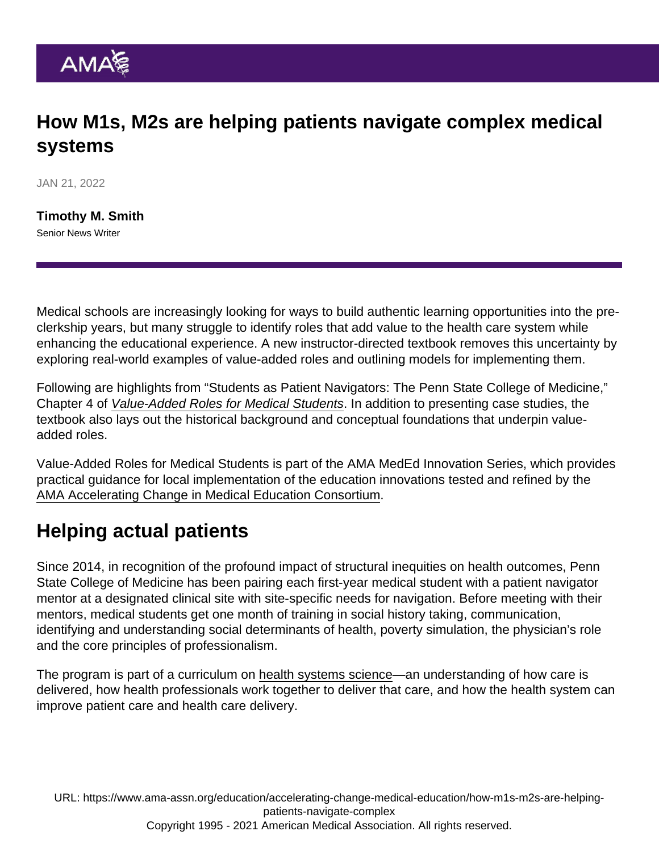## How M1s, M2s are helping patients navigate complex medical systems

JAN 21, 2022

[Timothy M. Smith](https://www.ama-assn.org/news-leadership-viewpoints/authors-news-leadership-viewpoints/timothy-m-smith) Senior News Writer

Medical schools are increasingly looking for ways to build authentic learning opportunities into the preclerkship years, but many struggle to identify roles that add value to the health care system while enhancing the educational experience. A new instructor-directed textbook removes this uncertainty by exploring real-world examples of value-added roles and outlining models for implementing them.

Following are highlights from "Students as Patient Navigators: The Penn State College of Medicine," Chapter 4 of [Value-Added Roles for Medical Students](https://www.elsevier.com/books/value-added-roles-for-medical-students/gonzalo/978-0-323-75950-2). In addition to presenting case studies, the textbook also lays out the historical background and conceptual foundations that underpin valueadded roles.

Value-Added Roles for Medical Students is part of the AMA MedEd Innovation Series, which provides practical guidance for local implementation of the education innovations tested and refined by the [AMA Accelerating Change in Medical Education Consortium](https://www.ama-assn.org/education/accelerating-change-medical-education).

## Helping actual patients

Since 2014, in recognition of the profound impact of structural inequities on health outcomes, Penn State College of Medicine has been pairing each first-year medical student with a patient navigator mentor at a designated clinical site with site-specific needs for navigation. Before meeting with their mentors, medical students get one month of training in social history taking, communication, identifying and understanding social determinants of health, poverty simulation, the physician's role and the [core principles of professionalism.](https://www.tandfonline.com/doi/full/10.1080/0142159X.2021.1924366)

The program is part of a curriculum on [health systems science—](https://www.ama-assn.org/education/accelerating-change-medical-education/teaching-health-systems-science)an understanding of how care is delivered, how health professionals work together to deliver that care, and how the health system can improve patient care and health care delivery.

URL: [https://www.ama-assn.org/education/accelerating-change-medical-education/how-m1s-m2s-are-helping](https://www.ama-assn.org/education/accelerating-change-medical-education/how-m1s-m2s-are-helping-patients-navigate-complex)[patients-navigate-complex](https://www.ama-assn.org/education/accelerating-change-medical-education/how-m1s-m2s-are-helping-patients-navigate-complex) Copyright 1995 - 2021 American Medical Association. All rights reserved.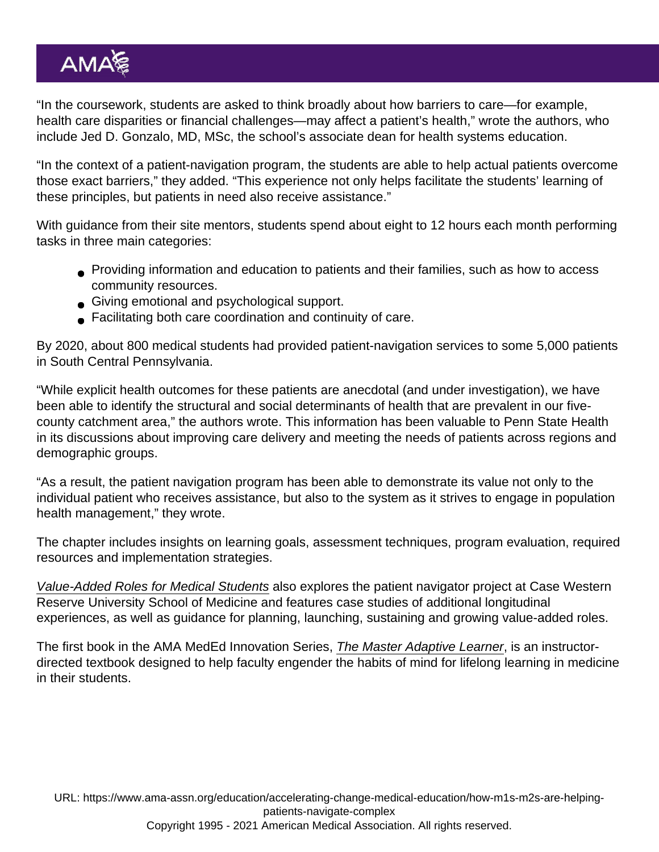"In the coursework, students are asked to think broadly about how barriers to care—for example, health care disparities or financial challenges—may affect a patient's health," wrote the authors, who include Jed D. Gonzalo, MD, MSc, the school's associate dean for health systems education.

"In the context of a patient-navigation program, the students are able to help actual patients overcome those exact barriers," they added. "This experience not only helps facilitate the students' learning of these principles, but patients in need also receive assistance."

With guidance from their site mentors, students spend about eight to 12 hours each month performing tasks in three main categories:

- Providing information and education to patients and their families, such as how to access community resources.
- Giving emotional and psychological support.
- Facilitating both care coordination and continuity of care.

By 2020, about 800 medical students had provided patient-navigation services to some 5,000 patients in South Central Pennsylvania.

"While explicit health outcomes for these patients are anecdotal (and under investigation), we have been able to identify the structural and social determinants of health that are prevalent in our fivecounty catchment area," the authors wrote. This information has been valuable to Penn State Health in its discussions about improving care delivery and meeting the needs of patients across regions and demographic groups.

"As a result, the patient navigation program has been able to demonstrate its value not only to the individual patient who receives assistance, but also to the system as it strives to engage in population health management," they wrote.

The chapter includes insights on learning goals, assessment techniques, program evaluation, required resources and implementation strategies.

[Value-Added Roles for Medical Students](https://www.elsevier.com/books/value-added-roles-for-medical-students/gonzalo/978-0-323-75950-2) also explores the patient navigator project at Case Western Reserve University School of Medicine and features case studies of additional longitudinal experiences, as well as guidance for planning, launching, sustaining and growing value-added roles.

The first book in the AMA MedEd Innovation Series, [The Master Adaptive Learner](https://www.elsevier.com/books/the-master-adaptive-learner/cutrer/978-0-323-71111-1), is an instructordirected textbook designed to help faculty engender the habits of mind for lifelong learning in medicine in their students.

URL: [https://www.ama-assn.org/education/accelerating-change-medical-education/how-m1s-m2s-are-helping](https://www.ama-assn.org/education/accelerating-change-medical-education/how-m1s-m2s-are-helping-patients-navigate-complex)[patients-navigate-complex](https://www.ama-assn.org/education/accelerating-change-medical-education/how-m1s-m2s-are-helping-patients-navigate-complex) Copyright 1995 - 2021 American Medical Association. All rights reserved.